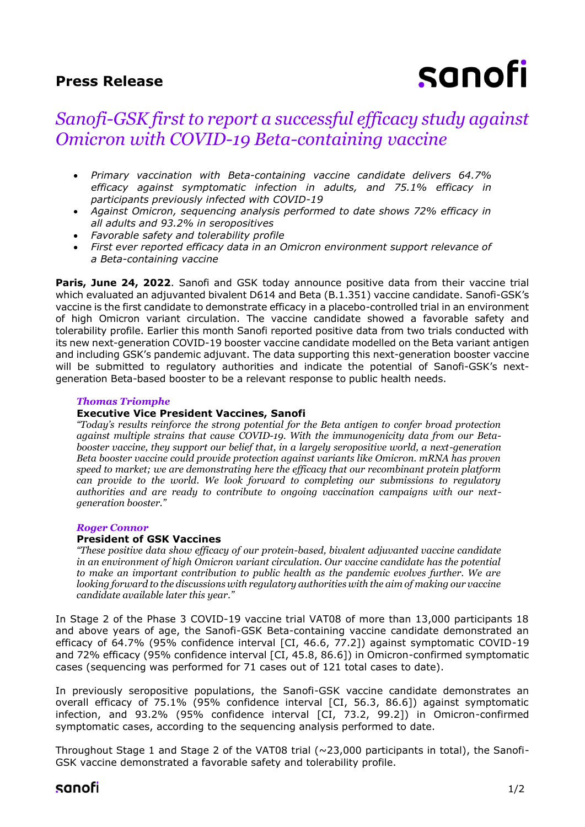## **Press Release**

# sanofi

## *Sanofi-GSK first to report a successful efficacy study against Omicron with COVID-19 Beta-containing vaccine*

- *Primary vaccination with Beta-containing vaccine candidate delivers 64.7% efficacy against symptomatic infection in adults, and 75.1% efficacy in participants previously infected with COVID-19*
- *Against Omicron, sequencing analysis performed to date shows 72% efficacy in all adults and 93.2% in seropositives*
- *Favorable safety and tolerability profile*
- *First ever reported efficacy data in an Omicron environment support relevance of a Beta-containing vaccine*

**Paris, June 24, 2022**. Sanofi and GSK today announce positive data from their vaccine trial which evaluated an adjuvanted bivalent D614 and Beta (B.1.351) vaccine candidate. Sanofi-GSK's vaccine is the first candidate to demonstrate efficacy in a placebo-controlled trial in an environment of high Omicron variant circulation. The vaccine candidate showed a favorable safety and tolerability profile. Earlier this month Sanofi reported positive data from two trials conducted with its new next-generation COVID-19 booster vaccine candidate modelled on the Beta variant antigen and including GSK's pandemic adjuvant. The data supporting this next-generation booster vaccine will be submitted to regulatory authorities and indicate the potential of Sanofi-GSK's nextgeneration Beta-based booster to be a relevant response to public health needs.

## *Thomas Triomphe*

## **Executive Vice President Vaccines, Sanofi**

*"Today's results reinforce the strong potential for the Beta antigen to confer broad protection against multiple strains that cause COVID-19. With the immunogenicity data from our Betabooster vaccine, they support our belief that, in a largely seropositive world, a next-generation Beta booster vaccine could provide protection against variants like Omicron. mRNA has proven speed to market; we are demonstrating here the efficacy that our recombinant protein platform can provide to the world. We look forward to completing our submissions to regulatory authorities and are ready to contribute to ongoing vaccination campaigns with our nextgeneration booster."*

## *Roger Connor*

## **President of GSK Vaccines**

*"These positive data show efficacy of our protein-based, bivalent adjuvanted vaccine candidate in an environment of high Omicron variant circulation. Our vaccine candidate has the potential to make an important contribution to public health as the pandemic evolves further. We are looking forward to the discussions with regulatory authorities with the aim of making our vaccine candidate available later this year."*

In Stage 2 of the Phase 3 COVID-19 vaccine trial VAT08 of more than 13,000 participants 18 and above years of age, the Sanofi-GSK Beta-containing vaccine candidate demonstrated an efficacy of 64.7% (95% confidence interval [CI, 46.6, 77.2]) against symptomatic COVID-19 and 72% efficacy (95% confidence interval [CI, 45.8, 86.6]) in Omicron-confirmed symptomatic cases (sequencing was performed for 71 cases out of 121 total cases to date).

In previously seropositive populations, the Sanofi-GSK vaccine candidate demonstrates an overall efficacy of 75.1% (95% confidence interval [CI, 56.3, 86.6]) against symptomatic infection, and 93.2% (95% confidence interval [CI, 73.2, 99.2]) in Omicron-confirmed symptomatic cases, according to the sequencing analysis performed to date.

Throughout Stage 1 and Stage 2 of the VAT08 trial (~23,000 participants in total), the Sanofi-GSK vaccine demonstrated a favorable safety and tolerability profile.

## sanofi